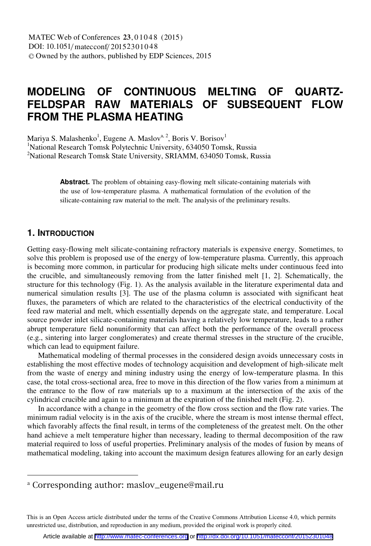# **MODELING OF CONTINUOUS MELTING OF QUARTZ-FELDSPAR RAW MATERIALS OF SUBSEQUENT FLOW FROM THE PLASMA HEATING**

Mariya S. Malashenko<sup>1</sup>, Eugene A. Maslov<sup>a, 2</sup>, Boris V. Borisov<sup>1</sup> <sup>1</sup>National Research Tomsk Polytechnic University, 634050 Tomsk, Russia <sup>2</sup>National Research Tomsk State University, SRIAMM, 634050 Tomsk, Russia

> **Abstract.** The problem of obtaining easy-flowing melt silicate-containing materials with the use of low-temperature plasma. A mathematical formulation of the evolution of the silicate-containing raw material to the melt. The analysis of the preliminary results.

## **1. INTRODUCTION**

Getting easy-flowing melt silicate-containing refractory materials is expensive energy. Sometimes, to solve this problem is proposed use of the energy of low-temperature plasma. Currently, this approach is becoming more common, in particular for producing high silicate melts under continuous feed into the crucible, and simultaneously removing from the latter finished melt [1, 2]. Schematically, the structure for this technology (Fig. 1). As the analysis available in the literature experimental data and numerical simulation results [3]. The use of the plasma column is associated with significant heat fluxes, the parameters of which are related to the characteristics of the electrical conductivity of the feed raw material and melt, which essentially depends on the aggregate state, and temperature. Local source powder inlet silicate-containing materials having a relatively low temperature, leads to a rather abrupt temperature field nonuniformity that can affect both the performance of the overall process (e.g., sintering into larger conglomerates) and create thermal stresses in the structure of the crucible, which can lead to equipment failure.

Mathematical modeling of thermal processes in the considered design avoids unnecessary costs in establishing the most effective modes of technology acquisition and development of high-silicate melt from the waste of energy and mining industry using the energy of low-temperature plasma. In this case, the total cross-sectional area, free to move in this direction of the flow varies from a minimum at the entrance to the flow of raw materials up to a maximum at the intersection of the axis of the cylindrical crucible and again to a minimum at the expiration of the finished melt (Fig. 2).

In accordance with a change in the geometry of the flow cross section and the flow rate varies. The minimum radial velocity is in the axis of the crucible, where the stream is most intense thermal effect, which favorably affects the final result, in terms of the completeness of the greatest melt. On the other hand achieve a melt temperature higher than necessary, leading to thermal decomposition of the raw material required to loss of useful properties. Preliminary analysis of the modes of fusion by means of mathematical modeling, taking into account the maximum design features allowing for an early design

This is an Open Access article distributed under the terms of the Creative Commons Attribution License 4.0, which permits unrestricted use, distribution, and reproduction in any medium, provided the original work is properly cited.

<sup>&</sup>lt;sup>a</sup> Corresponding author: maslov eugene@mail.ru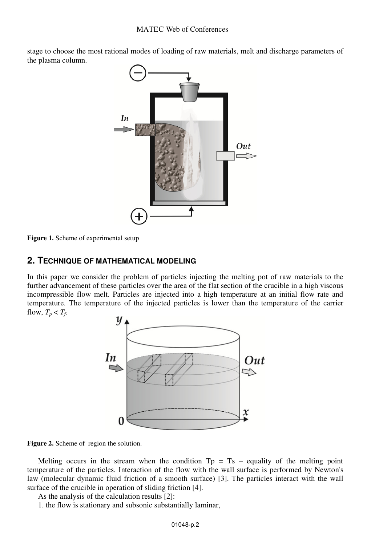stage to choose the most rational modes of loading of raw materials, melt and discharge parameters of the plasma column.



**Figure 1.** Scheme of experimental setup

### **2. TECHNIQUE OF MATHEMATICAL MODELING**

In this paper we consider the problem of particles injecting the melting pot of raw materials to the further advancement of these particles over the area of the flat section of the crucible in a high viscous incompressible flow melt. Particles are injected into a high temperature at an initial flow rate and temperature. The temperature of the injected particles is lower than the temperature of the carrier flow,  $T_p < T_f$ .



**Figure .** Scheme of region the solution. **2**

Melting occurs in the stream when the condition  $Tp = Ts - equality$  of the melting point temperature of the particles. Interaction of the flow with the wall surface is performed by Newton's law (molecular dynamic fluid friction of a smooth surface) [3]. The particles interact with the wall surface of the crucible in operation of sliding friction [4].

As the analysis of the calculation results [2]:

1. the flow is stationary and subsonic substantially laminar,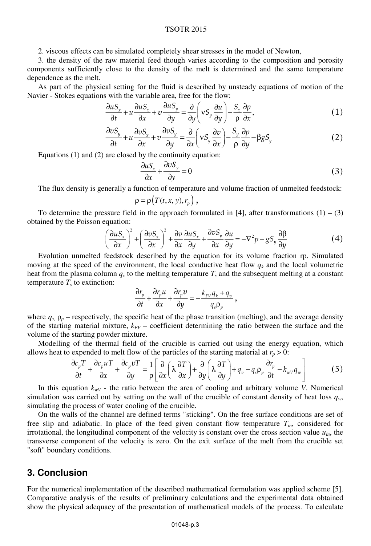#### TSOTR 2015

2. viscous effects can be simulated completely shear stresses in the model of Newton,

3. the density of the raw material feed though varies according to the composition and porosity components sufficiently close to the density of the melt is determined and the same temperature dependence as the melt.

As part of the physical setting for the fluid is described by unsteady equations of motion of the Navier - Stokes equations with the variable area, free for the flow:

$$
\frac{\partial u S_x}{\partial t} + u \frac{\partial u S_x}{\partial x} + v \frac{\partial u S_y}{\partial y} = \frac{\partial}{\partial y} \left( v S_y \frac{\partial u}{\partial y} \right) - \frac{S_x}{\rho} \frac{\partial p}{\partial x},\tag{1}
$$

$$
\frac{\partial vS_y}{\partial t} + u \frac{\partial vS_x}{\partial x} + v \frac{\partial vS_y}{\partial y} = \frac{\partial}{\partial x} \left( vS_y \frac{\partial v}{\partial x} \right) - \frac{S_y}{\rho} \frac{\partial p}{\partial y} - \beta gS_y \tag{2}
$$

Equations (1) and (2) are closed by the continuity equation:

$$
\frac{\partial uS_x}{\partial x} + \frac{\partial vS_y}{\partial y} = 0
$$
 (3)

The flux density is generally a function of temperature and volume fraction of unmelted feedstock:

$$
\rho = \rho(T(t, x, y), r_p),
$$

To determine the pressure field in the approach formulated in [4], after transformations  $(1) - (3)$ obtained by the Poisson equation:

$$
\left(\frac{\partial uS_x}{\partial x}\right)^2 + \left(\frac{\partial vS_x}{\partial x}\right)^2 + \frac{\partial v}{\partial x}\frac{\partial uS_x}{\partial y} + \frac{\partial vS_y}{\partial x}\frac{\partial u}{\partial y} = -\nabla^2 p - gS_y \frac{\partial \beta}{\partial y}
$$
(4)

Evolution unmelted feedstock described by the equation for its volume fraction rp. Simulated moving at the speed of the environment, the local conductive heat flow  $q_k$  and the local volumetric heat from the plasma column  $q<sub>y</sub>$  to the melting temperature  $T<sub>s</sub>$  and the subsequent melting at a constant temperature  $T<sub>s</sub>$  to extinction:

$$
\frac{\partial r_p}{\partial t} + \frac{\partial r_p u}{\partial x} + \frac{\partial r_p v}{\partial y} = -\frac{k_{FV} q_k + q_v}{q_s \rho_p},
$$

where  $q_s$ ,  $p_p$  – respectively, the specific heat of the phase transition (melting), and the average density of the starting material mixture,  $k_{FV}$  – coefficient determining the ratio between the surface and the volume of the starting powder mixture.

Modelling of the thermal field of the crucible is carried out using the energy equation, which allows heat to expended to melt flow of the particles of the starting material at  $r_p > 0$ :

$$
\frac{\partial c_p T}{\partial t} + \frac{\partial c_p u T}{\partial x} + \frac{\partial c_p v T}{\partial y} = \frac{1}{\rho} \left[ \frac{\partial}{\partial x} \left( \lambda \frac{\partial T}{\partial x} \right) + \frac{\partial}{\partial y} \left( \lambda \frac{\partial T}{\partial y} \right) + q_v - q_s \rho_p \frac{\partial r_p}{\partial t} - k_{wv} q_w \right]
$$
(5)

In this equation  $k_{wV}$  - the ratio between the area of cooling and arbitrary volume *V*. Numerical simulation was carried out by setting on the wall of the crucible of constant density of heat loss  $q_w$ , simulating the process of water cooling of the crucible.

On the walls of the channel are defined terms "sticking". On the free surface conditions are set of free slip and adiabatic. In place of the feed given constant flow temperature  $T_{in}$ , considered for irrotational, the longitudinal component of the velocity is constant over the cross section value  $u_{in}$ , the transverse component of the velocity is zero. On the exit surface of the melt from the crucible set "soft" boundary conditions.

## **3. Conclusion**

For the numerical implementation of the described mathematical formulation was applied scheme [5]. Comparative analysis of the results of preliminary calculations and the experimental data obtained show the physical adequacy of the presentation of mathematical models of the process. To calculate